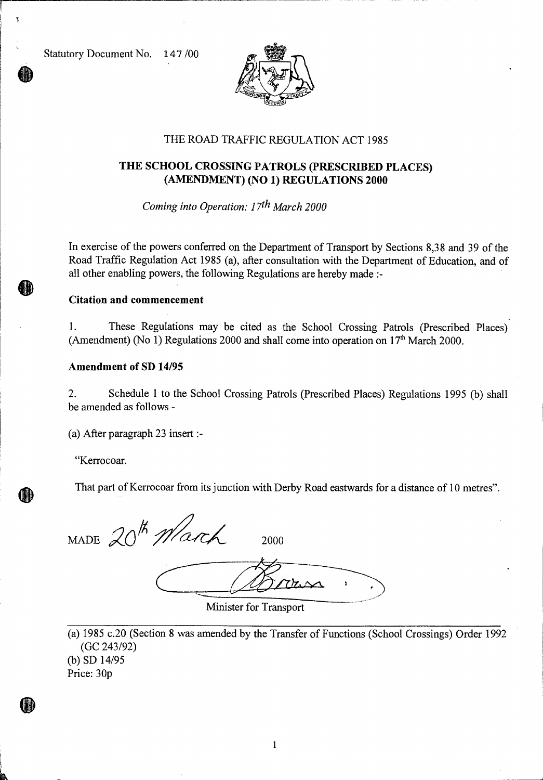Statutory Document No. 147/00



## THE ROAD TRAFFIC REGULATION ACT 1985

## **THE SCHOOL CROSSING PATROLS (PRESCRIBED PLACES) (AMENDMENT) (NO 1) REGULATIONS 2000**

*Coming into Operation: 17th March 2000* 

In exercise of the powers conferred on the Department of Transport by Sections 8,38 and 39 of the Road Traffic Regulation Act 1985 (a), after consultation with the Department of Education, and of all other enabling powers, the following Regulations are hereby made :-

#### **Citation and commencement**

1. These Regulations may be cited as the School Crossing Patrols (Prescribed Places) (Amendment) (No 1) Regulations 2000 and shall come into operation on  $17<sup>th</sup>$  March 2000.

### **Amendment of SD 14/95**

2. Schedule 1 to the School Crossing Patrols (Prescribed Places) Regulations 1995 (b) shall be amended as follows -

(a) After paragraph 23 insert :-

"Kerrocoar.

Œ

That part of Kerrocoar from its junction with Derby Road eastwards for a distance of 10 metres".

MADE  $20^{th}$  March 2000

 $7h$ n

Minister for Transport

(a) 1985 c.20 (Section 8 was amended by the Transfer of Functions (School Crossings) Order 1992 (GC 243/92) (b) SD 14/95

Price: 30p